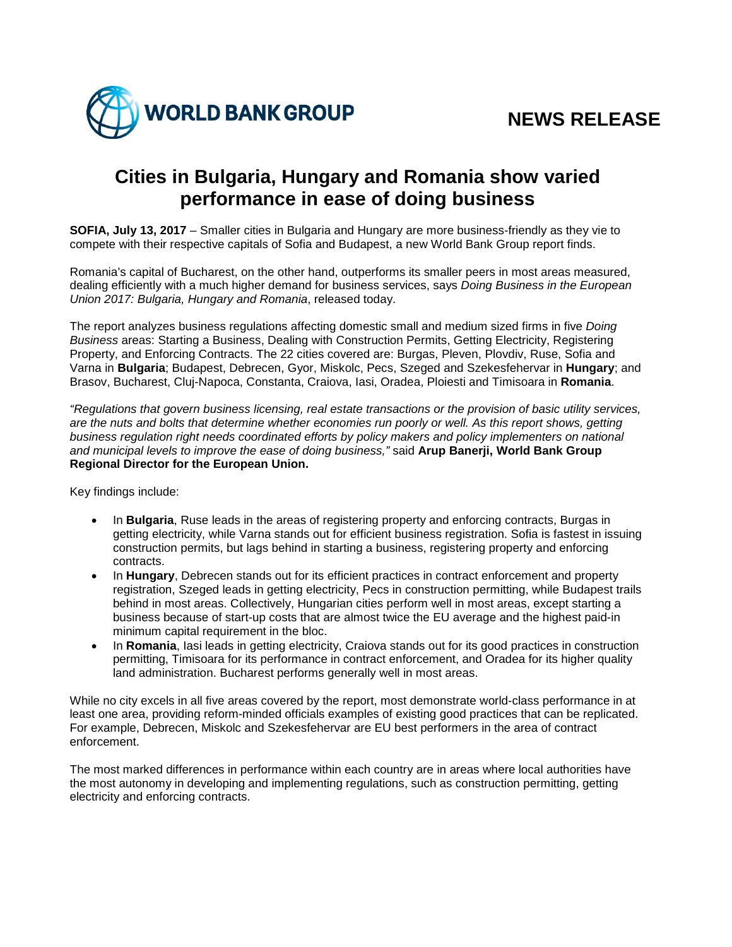

## **Cities in Bulgaria, Hungary and Romania show varied performance in ease of doing business**

**SOFIA, July 13, 2017** – Smaller cities in Bulgaria and Hungary are more business-friendly as they vie to compete with their respective capitals of Sofia and Budapest, a new World Bank Group report finds.

Romania's capital of Bucharest, on the other hand, outperforms its smaller peers in most areas measured, dealing efficiently with a much higher demand for business services, says *Doing Business in the European Union 2017: Bulgaria, Hungary and Romania*, released today.

The report analyzes business regulations affecting domestic small and medium sized firms in five *Doing Business* areas: Starting a Business, Dealing with Construction Permits, Getting Electricity, Registering Property, and Enforcing Contracts. The 22 cities covered are: Burgas, Pleven, Plovdiv, Ruse, Sofia and Varna in **Bulgaria**; Budapest, Debrecen, Gyor, Miskolc, Pecs, Szeged and Szekesfehervar in **Hungary**; and Brasov, Bucharest, Cluj-Napoca, Constanta, Craiova, Iasi, Oradea, Ploiesti and Timisoara in **Romania**.

*"Regulations that govern business licensing, real estate transactions or the provision of basic utility services, are the nuts and bolts that determine whether economies run poorly or well. As this report shows, getting business regulation right needs coordinated efforts by policy makers and policy implementers on national and municipal levels to improve the ease of doing business,"* said **Arup Banerji, World Bank Group Regional Director for the European Union.**

Key findings include:

- In **Bulgaria**, Ruse leads in the areas of registering property and enforcing contracts, Burgas in getting electricity, while Varna stands out for efficient business registration. Sofia is fastest in issuing construction permits, but lags behind in starting a business, registering property and enforcing contracts.
- In **Hungary**, Debrecen stands out for its efficient practices in contract enforcement and property registration, Szeged leads in getting electricity, Pecs in construction permitting, while Budapest trails behind in most areas. Collectively, Hungarian cities perform well in most areas, except starting a business because of start-up costs that are almost twice the EU average and the highest paid-in minimum capital requirement in the bloc.
- In **Romania**, Iasi leads in getting electricity, Craiova stands out for its good practices in construction permitting, Timisoara for its performance in contract enforcement, and Oradea for its higher quality land administration. Bucharest performs generally well in most areas.

While no city excels in all five areas covered by the report, most demonstrate world-class performance in at least one area, providing reform-minded officials examples of existing good practices that can be replicated. For example, Debrecen, Miskolc and Szekesfehervar are EU best performers in the area of contract enforcement.

The most marked differences in performance within each country are in areas where local authorities have the most autonomy in developing and implementing regulations, such as construction permitting, getting electricity and enforcing contracts.